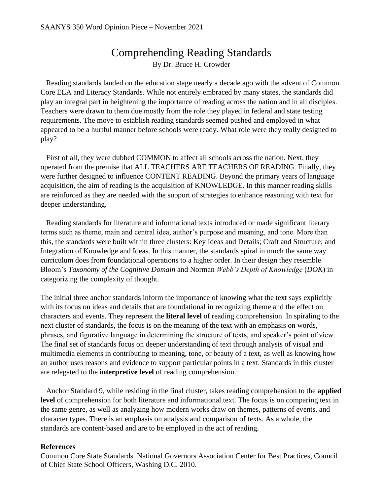## Comprehending Reading Standards By Dr. Bruce H. Crowder

 Reading standards landed on the education stage nearly a decade ago with the advent of Common Core ELA and Literacy Standards. While not entirely embraced by many states, the standards did play an integral part in heightening the importance of reading across the nation and in all disciples. Teachers were drawn to them due mostly from the role they played in federal and state testing requirements. The move to establish reading standards seemed pushed and employed in what appeared to be a hurtful manner before schools were ready. What role were they really designed to play?

 First of all, they were dubbed COMMON to affect all schools across the nation. Next, they operated from the premise that ALL TEACHERS ARE TEACHERS OF READING. Finally, they were further designed to influence CONTENT READING. Beyond the primary years of language acquisition, the aim of reading is the acquisition of KNOWLEDGE. In this manner reading skills are reinforced as they are needed with the support of strategies to enhance reasoning with text for deeper understanding.

 Reading standards for literature and informational texts introduced or made significant literary terms such as theme, main and central idea, author's purpose and meaning, and tone. More than this, the standards were built within three clusters: Key Ideas and Details; Craft and Structure; and Integration of Knowledge and Ideas. In this manner, the standards spiral in much the same way curriculum does from foundational operations to a higher order. In their design they resemble Bloom's *Taxonomy of the Cognitive Domain* and Norman *Webb's Depth of Knowledge* (*DOK*) in categorizing the complexity of thought.

The initial three anchor standards inform the importance of knowing what the text says explicitly with its focus on ideas and details that are foundational in recognizing theme and the effect on characters and events. They represent the **literal level** of reading comprehension. In spiraling to the next cluster of standards, the focus is on the meaning of the text with an emphasis on words, phrases, and figurative language in determining the structure of texts, and speaker's point of view. The final set of standards focus on deeper understanding of text through analysis of visual and multimedia elements in contributing to meaning, tone, or beauty of a text, as well as knowing how an author uses reasons and evidence to support particular points in a text. Standards in this cluster are relegated to the **interpretive level** of reading comprehension.

 Anchor Standard 9, while residing in the final cluster, takes reading comprehension to the **applied level** of comprehension for both literature and informational text. The focus is on comparing text in the same genre, as well as analyzing how modern works draw on themes, patterns of events, and character types. There is an emphasis on analysis and comparison of texts. As a whole, the standards are content-based and are to be employed in the act of reading.

## **References**

Common Core State Standards. National Governors Association Center for Best Practices, Council of Chief State School Officers, Washing D.C. 2010.